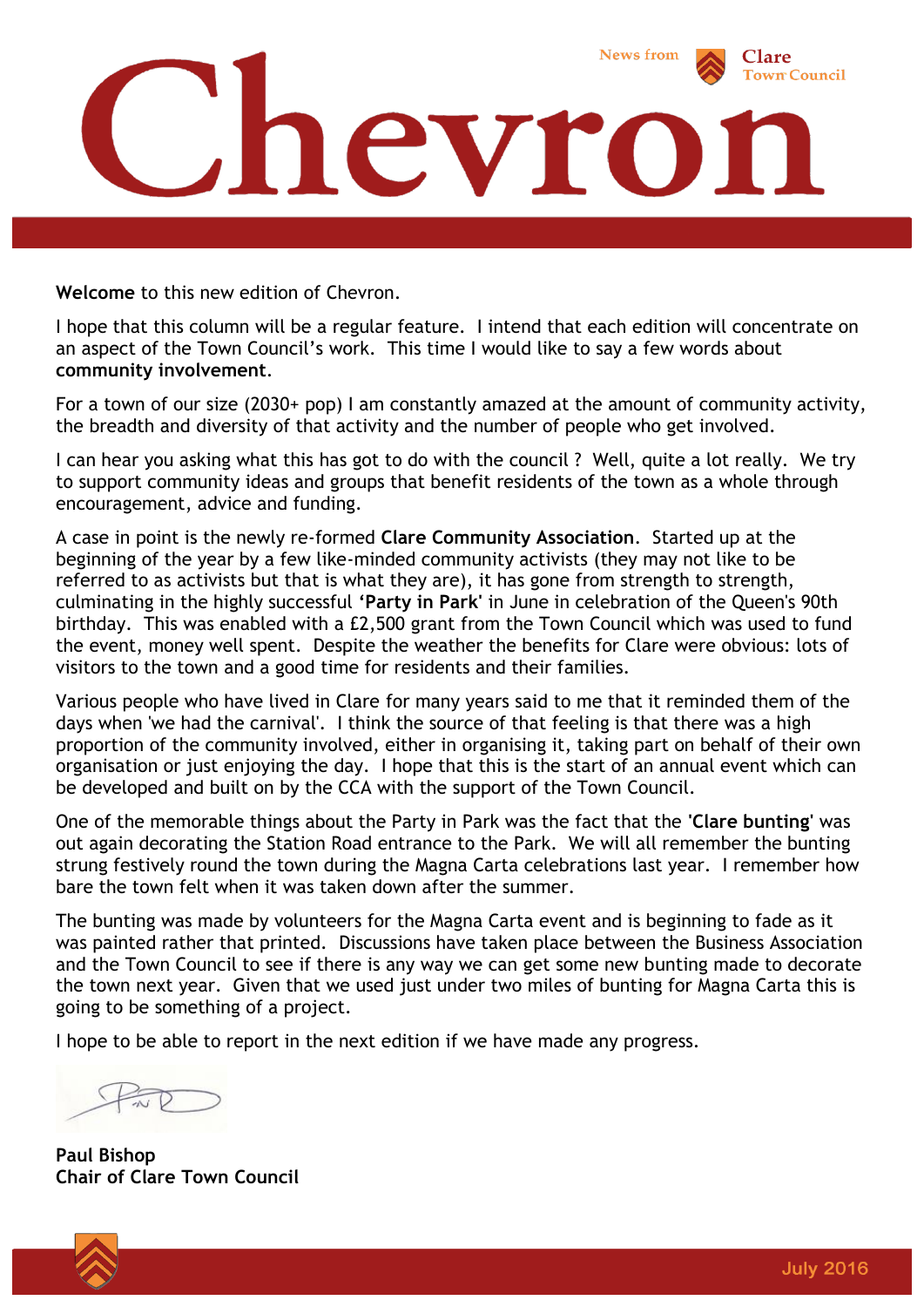

**Welcome** to this new edition of Chevron.

I hope that this column will be a regular feature. I intend that each edition will concentrate on an aspect of the Town Council's work. This time I would like to say a few words about **community involvement**.

For a town of our size (2030+ pop) I am constantly amazed at the amount of community activity, the breadth and diversity of that activity and the number of people who get involved.

I can hear you asking what this has got to do with the council ? Well, quite a lot really. We try to support community ideas and groups that benefit residents of the town as a whole through encouragement, advice and funding.

A case in point is the newly re-formed **Clare Community Association**. Started up at the beginning of the year by a few like-minded community activists (they may not like to be referred to as activists but that is what they are), it has gone from strength to strength, culminating in the highly successful **'Party in Park'** in June in celebration of the Queen's 90th birthday. This was enabled with a £2,500 grant from the Town Council which was used to fund the event, money well spent. Despite the weather the benefits for Clare were obvious: lots of visitors to the town and a good time for residents and their families.

Various people who have lived in Clare for many years said to me that it reminded them of the days when 'we had the carnival'. I think the source of that feeling is that there was a high proportion of the community involved, either in organising it, taking part on behalf of their own organisation or just enjoying the day. I hope that this is the start of an annual event which can be developed and built on by the CCA with the support of the Town Council.

One of the memorable things about the Party in Park was the fact that the **'Clare bunting'** was out again decorating the Station Road entrance to the Park. We will all remember the bunting strung festively round the town during the Magna Carta celebrations last year. I remember how bare the town felt when it was taken down after the summer.

The bunting was made by volunteers for the Magna Carta event and is beginning to fade as it was painted rather that printed. Discussions have taken place between the Business Association and the Town Council to see if there is any way we can get some new bunting made to decorate the town next year. Given that we used just under two miles of bunting for Magna Carta this is going to be something of a project.

I hope to be able to report in the next edition if we have made any progress.



**Paul Bishop Chair of Clare Town Council**

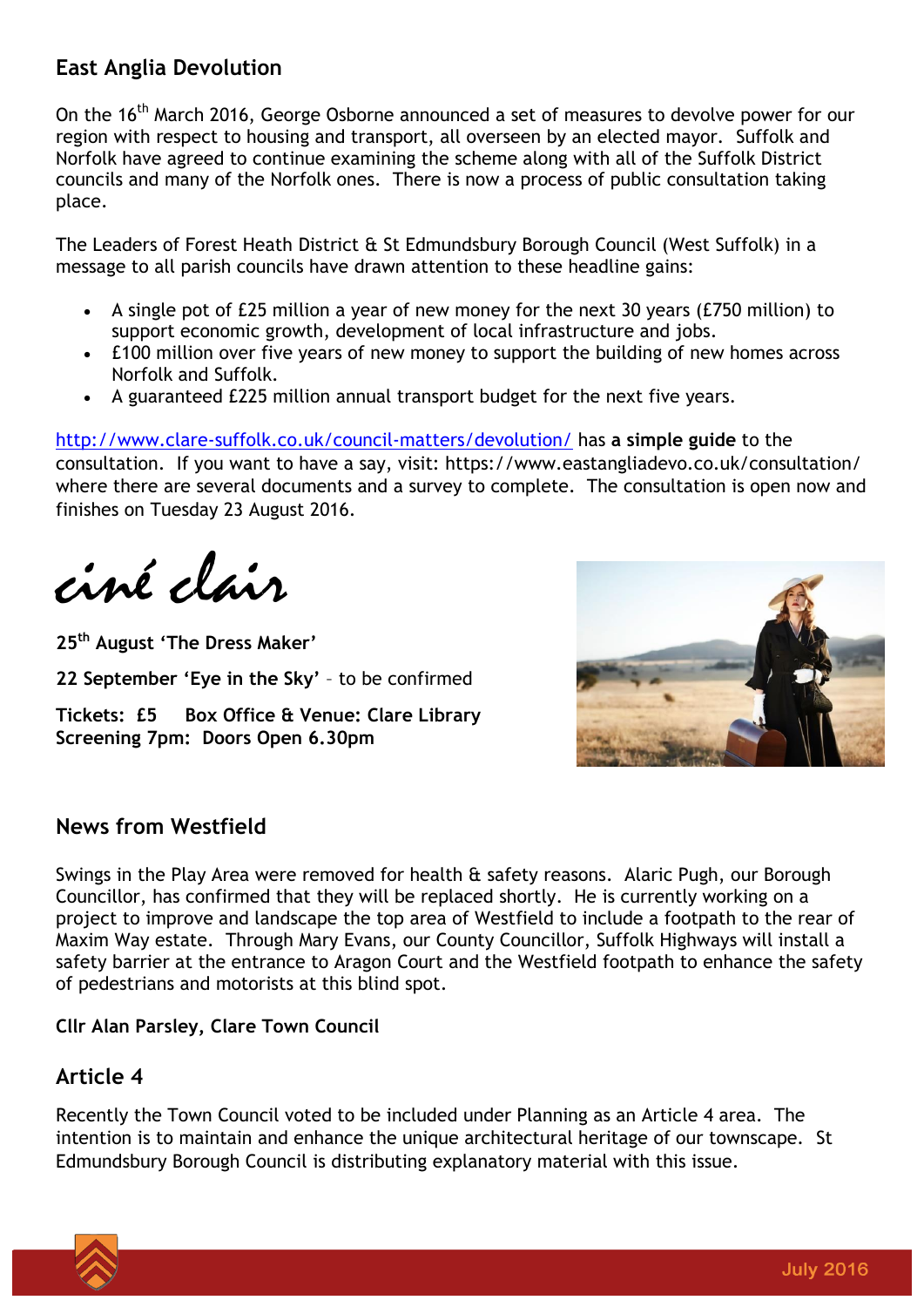# **East Anglia Devolution**

On the 16<sup>th</sup> March 2016, George Osborne announced a set of measures to devolve power for our region with respect to housing and transport, all overseen by an elected mayor. Suffolk and Norfolk have agreed to continue examining the scheme along with all of the Suffolk District councils and many of the Norfolk ones. There is now a process of public consultation taking place.

The Leaders of Forest Heath District & St Edmundsbury Borough Council (West Suffolk) in a message to all parish councils have drawn attention to these headline gains:

- A single pot of £25 million a year of new money for the next 30 years (£750 million) to support economic growth, development of local infrastructure and jobs.
- £100 million over five years of new money to support the building of new homes across Norfolk and Suffolk.
- A guaranteed £225 million annual transport budget for the next five years.

<http://www.clare-suffolk.co.uk/council-matters/devolution/> has **a simple guide** to the consultation. If you want to have a say, visit: https://www.eastangliadevo.co.uk/consultation/ where there are several documents and a survey to complete. The consultation is open now and finishes on Tuesday 23 August 2016.

ciné clair

**25 th August 'The Dress Maker' 22 September 'Eye in the Sky'** – to be confirmed **Tickets: £5 Box Office & Venue: Clare Library Screening 7pm: Doors Open 6.30pm**



### **News from Westfield**

Swings in the Play Area were removed for health & safety reasons. Alaric Pugh, our Borough Councillor, has confirmed that they will be replaced shortly. He is currently working on a project to improve and landscape the top area of Westfield to include a footpath to the rear of Maxim Way estate. Through Mary Evans, our County Councillor, Suffolk Highways will install a safety barrier at the entrance to Aragon Court and the Westfield footpath to enhance the safety of pedestrians and motorists at this blind spot.

#### **Cllr Alan Parsley, Clare Town Council**

### **Article 4**

Recently the Town Council voted to be included under Planning as an Article 4 area. The intention is to maintain and enhance the unique architectural heritage of our townscape. St Edmundsbury Borough Council is distributing explanatory material with this issue.

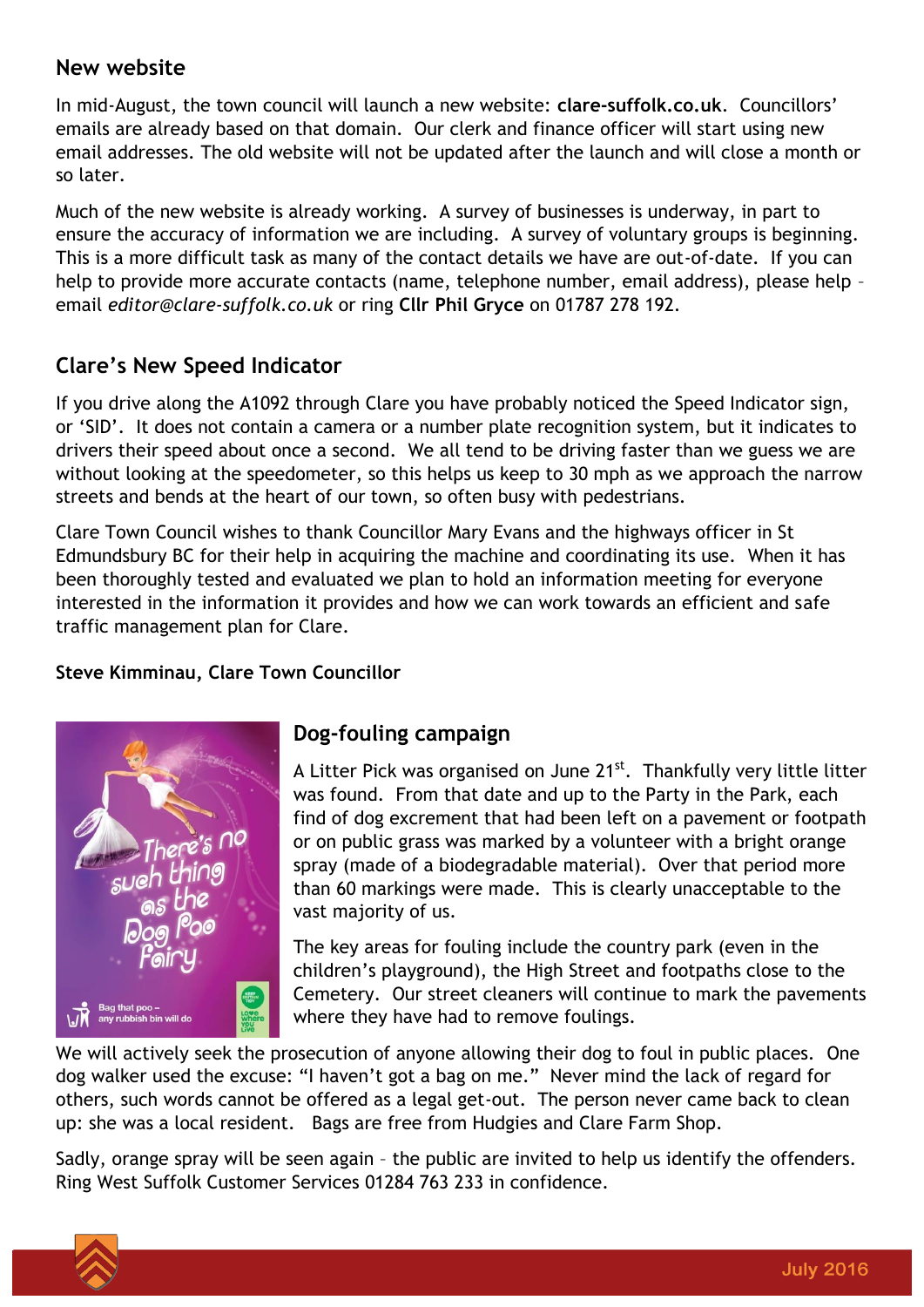### **New website**

In mid-August, the town council will launch a new website: **clare-suffolk.co.uk**. Councillors' emails are already based on that domain. Our clerk and finance officer will start using new email addresses. The old website will not be updated after the launch and will close a month or so later.

Much of the new website is already working. A survey of businesses is underway, in part to ensure the accuracy of information we are including. A survey of voluntary groups is beginning. This is a more difficult task as many of the contact details we have are out-of-date. If you can help to provide more accurate contacts (name, telephone number, email address), please help email *editor@clare-suffolk.co.uk* or ring **Cllr Phil Gryce** on 01787 278 192.

# **Clare's New Speed Indicator**

If you drive along the A1092 through Clare you have probably noticed the Speed Indicator sign, or 'SID'. It does not contain a camera or a number plate recognition system, but it indicates to drivers their speed about once a second. We all tend to be driving faster than we guess we are without looking at the speedometer, so this helps us keep to 30 mph as we approach the narrow streets and bends at the heart of our town, so often busy with pedestrians.

Clare Town Council wishes to thank Councillor Mary Evans and the highways officer in St Edmundsbury BC for their help in acquiring the machine and coordinating its use. When it has been thoroughly tested and evaluated we plan to hold an information meeting for everyone interested in the information it provides and how we can work towards an efficient and safe traffic management plan for Clare.

#### **Steve Kimminau, Clare Town Councillor**



## **Dog-fouling campaign**

A Litter Pick was organised on June 21<sup>st</sup>. Thankfully very little litter was found. From that date and up to the Party in the Park, each find of dog excrement that had been left on a pavement or footpath or on public grass was marked by a volunteer with a bright orange spray (made of a biodegradable material). Over that period more than 60 markings were made. This is clearly unacceptable to the vast majority of us.

The key areas for fouling include the country park (even in the children's playground), the High Street and footpaths close to the Cemetery. Our street cleaners will continue to mark the pavements where they have had to remove foulings.

We will actively seek the prosecution of anyone allowing their dog to foul in public places. One dog walker used the excuse: "I haven't got a bag on me." Never mind the lack of regard for others, such words cannot be offered as a legal get-out. The person never came back to clean up: she was a local resident. Bags are free from Hudgies and Clare Farm Shop.

Sadly, orange spray will be seen again – the public are invited to help us identify the offenders. Ring West Suffolk Customer Services 01284 763 233 in confidence.